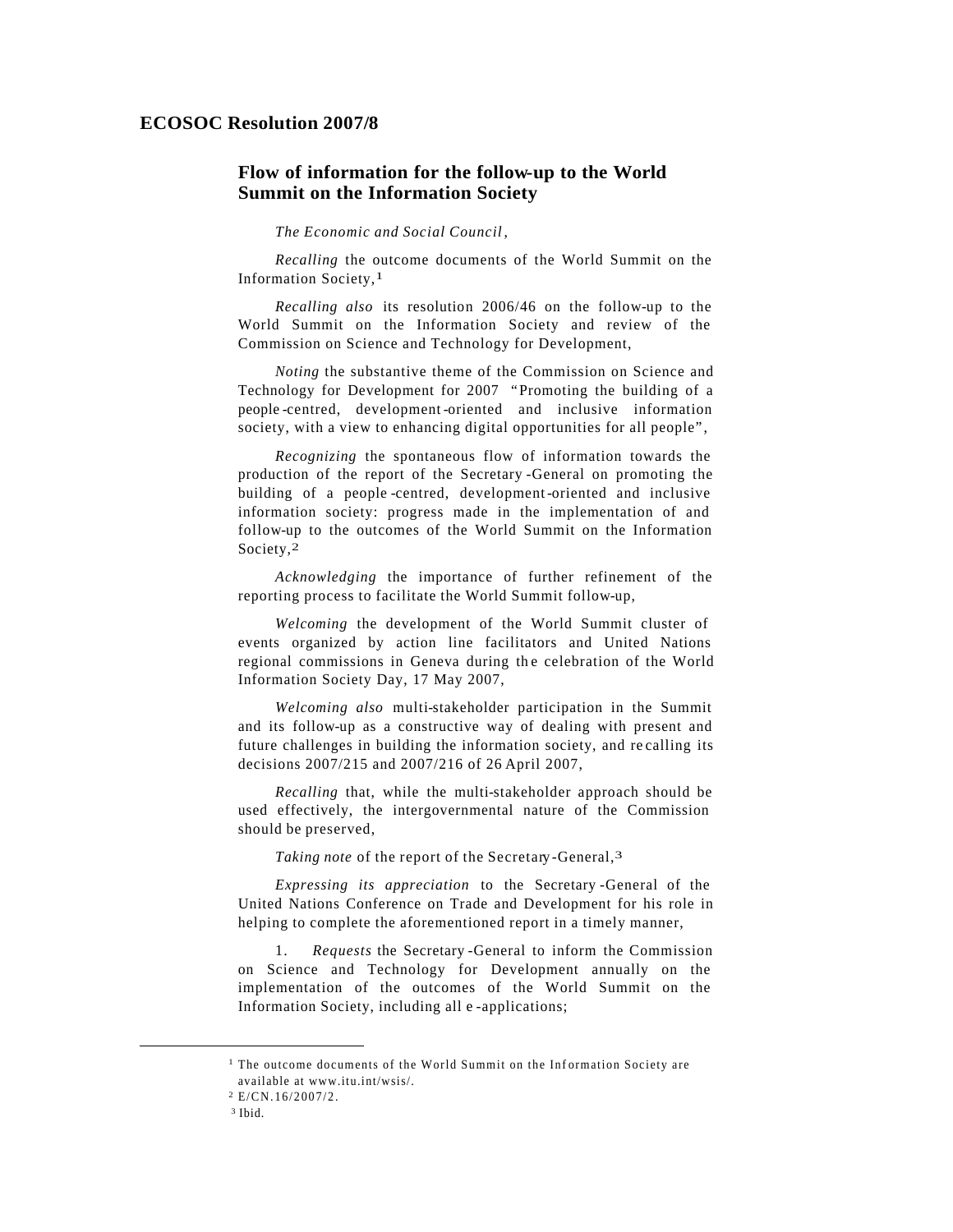## **Flow of information for the follow-up to the World Summit on the Information Society**

## *The Economic and Social Council* ,

*Recalling* the outcome documents of the World Summit on the Information Society,1

*Recalling also* its resolution 2006/46 on the follow-up to the World Summit on the Information Society and review of the Commission on Science and Technology for Development,

*Noting* the substantive theme of the Commission on Science and Technology for Development for 2007 "Promoting the building of a people -centred, development -oriented and inclusive information society, with a view to enhancing digital opportunities for all people",

*Recognizing* the spontaneous flow of information towards the production of the report of the Secretary -General on promoting the building of a people -centred, development-oriented and inclusive information society: progress made in the implementation of and follow-up to the outcomes of the World Summit on the Information Society,2

*Acknowledging* the importance of further refinement of the reporting process to facilitate the World Summit follow-up,

*Welcoming* the development of the World Summit cluster of events organized by action line facilitators and United Nations regional commissions in Geneva during the celebration of the World Information Society Day, 17 May 2007,

*Welcoming also* multi-stakeholder participation in the Summit and its follow-up as a constructive way of dealing with present and future challenges in building the information society, and re calling its decisions 2007/215 and 2007/216 of 26 April 2007,

*Recalling* that, while the multi-stakeholder approach should be used effectively, the intergovernmental nature of the Commission should be preserved,

*Taking note* of the report of the Secretary -General,3

*Expressing its appreciation* to the Secretary -General of the United Nations Conference on Trade and Development for his role in helping to complete the aforementioned report in a timely manner,

1. *Requests* the Secretary -General to inform the Commission on Science and Technology for Development annually on the implementation of the outcomes of the World Summit on the Information Society, including all e -applications;

 $\overline{a}$ 

<sup>&</sup>lt;sup>1</sup> The outcome documents of the World Summit on the Information Society are available at www.itu.int/wsis/.

<sup>2</sup> E/CN.16/2007/2.

<sup>3</sup> Ibid.